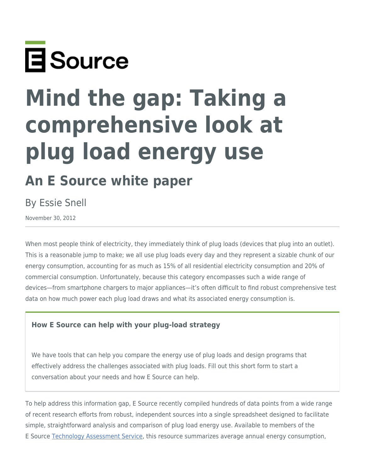

# **Mind the gap: Taking a comprehensive look at plug load energy use**

# **An E Source white paper**

## By Essie Snell

November 30, 2012

When most people think of electricity, they immediately think of plug loads (devices that plug into an outlet). This is a reasonable jump to make; we all use plug loads every day and they represent a sizable chunk of our energy consumption, accounting for as much as 15% of all residential electricity consumption and 20% of commercial consumption. Unfortunately, because this category encompasses such a wide range of devices—from smartphone chargers to major appliances—it's often difficult to find robust comprehensive test data on how much power each plug load draws and what its associated energy consumption is.

#### **How E Source can help with your plug-load strategy**

We have tools that can help you compare the energy use of plug loads and design programs that effectively address the challenges associated with plug loads. Fill out this short form to start a conversation about your needs and how E Source can help.

To help address this information gap, E Source recently compiled hundreds of data points from a wide range of recent research efforts from robust, independent sources into a single spreadsheet designed to facilitate simple, straightforward analysis and comparison of plug load energy use. Available to members of the E Source [Technology Assessment Service](https://www.esource.com/tas-service-membership), this resource summarizes average annual energy consumption,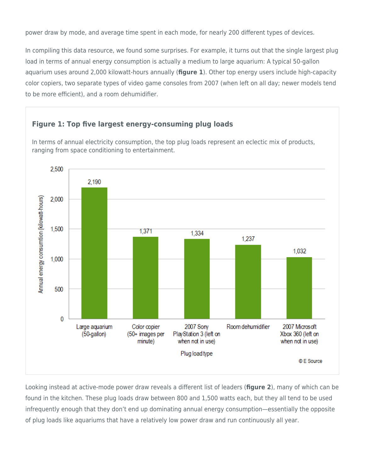power draw by mode, and average time spent in each mode, for nearly 200 different types of devices.

In compiling this data resource, we found some surprises. For example, it turns out that the single largest plug load in terms of annual energy consumption is actually a medium to large aquarium: A typical 50-gallon aquarium uses around 2,000 kilowatt-hours annually (**figure 1**). Other top energy users include high-capacity color copiers, two separate types of video game consoles from 2007 (when left on all day; newer models tend to be more efficient), and a room dehumidifier.

#### **Figure 1: Top five largest energy-consuming plug loads**

In terms of annual electricity consumption, the top plug loads represent an eclectic mix of products, ranging from space conditioning to entertainment.



Looking instead at active-mode power draw reveals a different list of leaders (**figure 2**), many of which can be found in the kitchen. These plug loads draw between 800 and 1,500 watts each, but they all tend to be used infrequently enough that they don't end up dominating annual energy consumption—essentially the opposite of plug loads like aquariums that have a relatively low power draw and run continuously all year.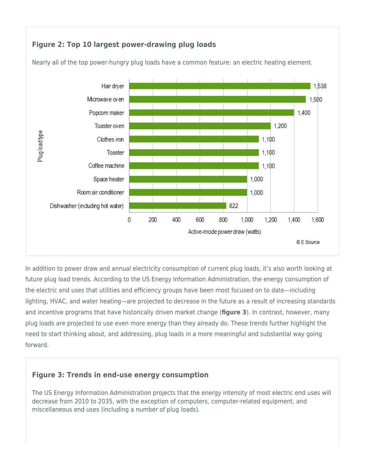#### **Figure 2: Top 10 largest power-drawing plug loads**



Nearly all of the top power-hungry plug loads have a common feature: an electric heating element.

In addition to power draw and annual electricity consumption of current plug loads, it's also worth looking at future plug load trends. According to the US Energy Information Administration, the energy consumption of the electric end uses that utilities and efficiency groups have been most focused on to date—including lighting, HVAC, and water heating—are projected to decrease in the future as a result of increasing standards and incentive programs that have historically driven market change (**figure 3**). In contrast, however, many plug loads are projected to use even more energy than they already do. These trends further highlight the need to start thinking about, and addressing, plug loads in a more meaningful and substantial way going forward.

#### **Figure 3: Trends in end-use energy consumption**

The US Energy Information Administration projects that the energy intensity of most electric end uses will decrease from 2010 to 2035, with the exception of computers, computer-related equipment, and miscellaneous end uses (including a number of plug loads).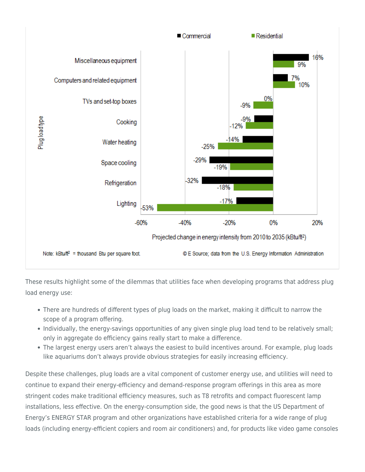

These results highlight some of the dilemmas that utilities face when developing programs that address plug load energy use:

- There are hundreds of different types of plug loads on the market, making it difficult to narrow the scope of a program offering.
- Individually, the energy-savings opportunities of any given single plug load tend to be relatively small; only in aggregate do efficiency gains really start to make a difference.
- The largest energy users aren't always the easiest to build incentives around. For example, plug loads like aquariums don't always provide obvious strategies for easily increasing efficiency.

Despite these challenges, plug loads are a vital component of customer energy use, and utilities will need to continue to expand their energy-efficiency and demand-response program offerings in this area as more stringent codes make traditional efficiency measures, such as T8 retrofits and compact fluorescent lamp installations, less effective. On the energy-consumption side, the good news is that the US Department of Energy's ENERGY STAR program and other organizations have established criteria for a wide range of plug loads (including energy-efficient copiers and room air conditioners) and, for products like video game consoles